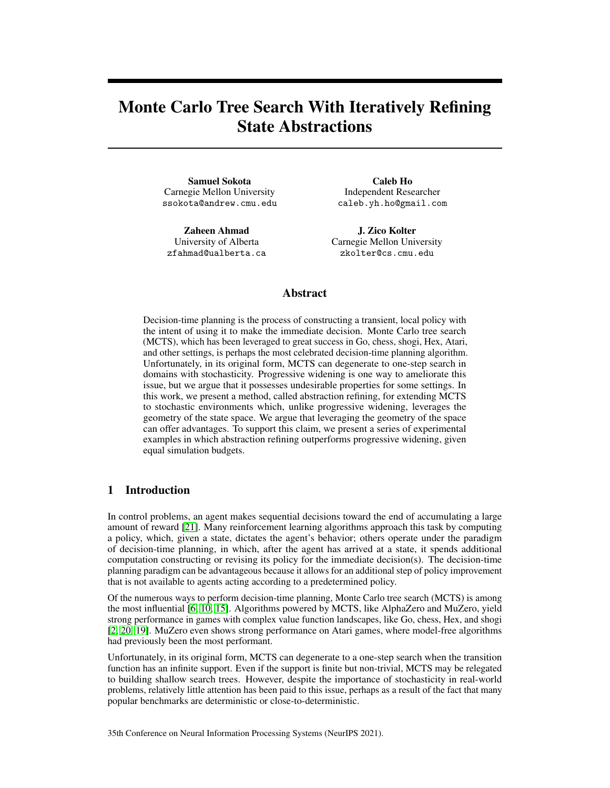# Monte Carlo Tree Search With Iteratively Refining State Abstractions

Samuel Sokota Carnegie Mellon University ssokota@andrew.cmu.edu

Zaheen Ahmad University of Alberta zfahmad@ualberta.ca

Caleb Ho Independent Researcher caleb.yh.ho@gmail.com

J. Zico Kolter Carnegie Mellon University zkolter@cs.cmu.edu

# Abstract

Decision-time planning is the process of constructing a transient, local policy with the intent of using it to make the immediate decision. Monte Carlo tree search (MCTS), which has been leveraged to great success in Go, chess, shogi, Hex, Atari, and other settings, is perhaps the most celebrated decision-time planning algorithm. Unfortunately, in its original form, MCTS can degenerate to one-step search in domains with stochasticity. Progressive widening is one way to ameliorate this issue, but we argue that it possesses undesirable properties for some settings. In this work, we present a method, called abstraction refining, for extending MCTS to stochastic environments which, unlike progressive widening, leverages the geometry of the state space. We argue that leveraging the geometry of the space can offer advantages. To support this claim, we present a series of experimental examples in which abstraction refining outperforms progressive widening, given equal simulation budgets.

# 1 Introduction

In control problems, an agent makes sequential decisions toward the end of accumulating a large amount of reward [\[21\]](#page-10-0). Many reinforcement learning algorithms approach this task by computing a policy, which, given a state, dictates the agent's behavior; others operate under the paradigm of decision-time planning, in which, after the agent has arrived at a state, it spends additional computation constructing or revising its policy for the immediate decision(s). The decision-time planning paradigm can be advantageous because it allows for an additional step of policy improvement that is not available to agents acting according to a predetermined policy.

Of the numerous ways to perform decision-time planning, Monte Carlo tree search (MCTS) is among the most influential [\[6,](#page-9-0) [10,](#page-9-1) [15\]](#page-10-1). Algorithms powered by MCTS, like AlphaZero and MuZero, yield strong performance in games with complex value function landscapes, like Go, chess, Hex, and shogi [\[2,](#page-9-2) [20,](#page-10-2) [19\]](#page-10-3). MuZero even shows strong performance on Atari games, where model-free algorithms had previously been the most performant.

Unfortunately, in its original form, MCTS can degenerate to a one-step search when the transition function has an infinite support. Even if the support is finite but non-trivial, MCTS may be relegated to building shallow search trees. However, despite the importance of stochasticity in real-world problems, relatively little attention has been paid to this issue, perhaps as a result of the fact that many popular benchmarks are deterministic or close-to-deterministic.

35th Conference on Neural Information Processing Systems (NeurIPS 2021).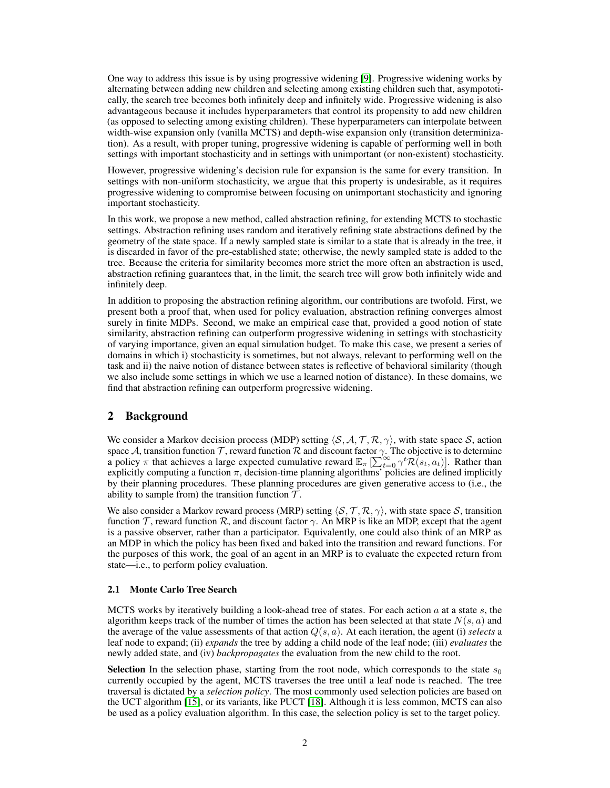One way to address this issue is by using progressive widening [\[9\]](#page-9-3). Progressive widening works by alternating between adding new children and selecting among existing children such that, asympototically, the search tree becomes both infinitely deep and infinitely wide. Progressive widening is also advantageous because it includes hyperparameters that control its propensity to add new children (as opposed to selecting among existing children). These hyperparameters can interpolate between width-wise expansion only (vanilla MCTS) and depth-wise expansion only (transition determinization). As a result, with proper tuning, progressive widening is capable of performing well in both settings with important stochasticity and in settings with unimportant (or non-existent) stochasticity.

However, progressive widening's decision rule for expansion is the same for every transition. In settings with non-uniform stochasticity, we argue that this property is undesirable, as it requires progressive widening to compromise between focusing on unimportant stochasticity and ignoring important stochasticity.

In this work, we propose a new method, called abstraction refining, for extending MCTS to stochastic settings. Abstraction refining uses random and iteratively refining state abstractions defined by the geometry of the state space. If a newly sampled state is similar to a state that is already in the tree, it is discarded in favor of the pre-established state; otherwise, the newly sampled state is added to the tree. Because the criteria for similarity becomes more strict the more often an abstraction is used, abstraction refining guarantees that, in the limit, the search tree will grow both infinitely wide and infinitely deep.

In addition to proposing the abstraction refining algorithm, our contributions are twofold. First, we present both a proof that, when used for policy evaluation, abstraction refining converges almost surely in finite MDPs. Second, we make an empirical case that, provided a good notion of state similarity, abstraction refining can outperform progressive widening in settings with stochasticity of varying importance, given an equal simulation budget. To make this case, we present a series of domains in which i) stochasticity is sometimes, but not always, relevant to performing well on the task and ii) the naive notion of distance between states is reflective of behavioral similarity (though we also include some settings in which we use a learned notion of distance). In these domains, we find that abstraction refining can outperform progressive widening.

## 2 Background

We consider a Markov decision process (MDP) setting  $\langle S, A, T, R, \gamma \rangle$ , with state space S, action space A, transition function  $\mathcal T$ , reward function  $\mathcal R$  and discount factor  $\gamma$ . The objective is to determine a policy  $\pi$  that achieves a large expected cumulative reward  $\mathbb{E}_{\pi} \left[ \sum_{t=0}^{\infty} \gamma^t \mathcal{R}(s_t, a_t) \right]$ . Rather than explicitly computing a function  $\pi$ , decision-time planning algorithms' policies are defined implicitly by their planning procedures. These planning procedures are given generative access to (i.e., the ability to sample from) the transition function  $\mathcal{T}$ .

We also consider a Markov reward process (MRP) setting  $\langle S, \mathcal{T}, \mathcal{R}, \gamma \rangle$ , with state space S, transition function  $\mathcal T$ , reward function  $\mathcal R$ , and discount factor  $\gamma$ . An MRP is like an MDP, except that the agent is a passive observer, rather than a participator. Equivalently, one could also think of an MRP as an MDP in which the policy has been fixed and baked into the transition and reward functions. For the purposes of this work, the goal of an agent in an MRP is to evaluate the expected return from state—i.e., to perform policy evaluation.

#### 2.1 Monte Carlo Tree Search

MCTS works by iteratively building a look-ahead tree of states. For each action  $a$  at a state  $s$ , the algorithm keeps track of the number of times the action has been selected at that state  $N(s, a)$  and the average of the value assessments of that action  $Q(s, a)$ . At each iteration, the agent (i) *selects* a leaf node to expand; (ii) *expands* the tree by adding a child node of the leaf node; (iii) *evaluates* the newly added state, and (iv) *backpropagates* the evaluation from the new child to the root.

**Selection** In the selection phase, starting from the root node, which corresponds to the state  $s_0$ currently occupied by the agent, MCTS traverses the tree until a leaf node is reached. The tree traversal is dictated by a *selection policy*. The most commonly used selection policies are based on the UCT algorithm [\[15\]](#page-10-1), or its variants, like PUCT [\[18\]](#page-10-4). Although it is less common, MCTS can also be used as a policy evaluation algorithm. In this case, the selection policy is set to the target policy.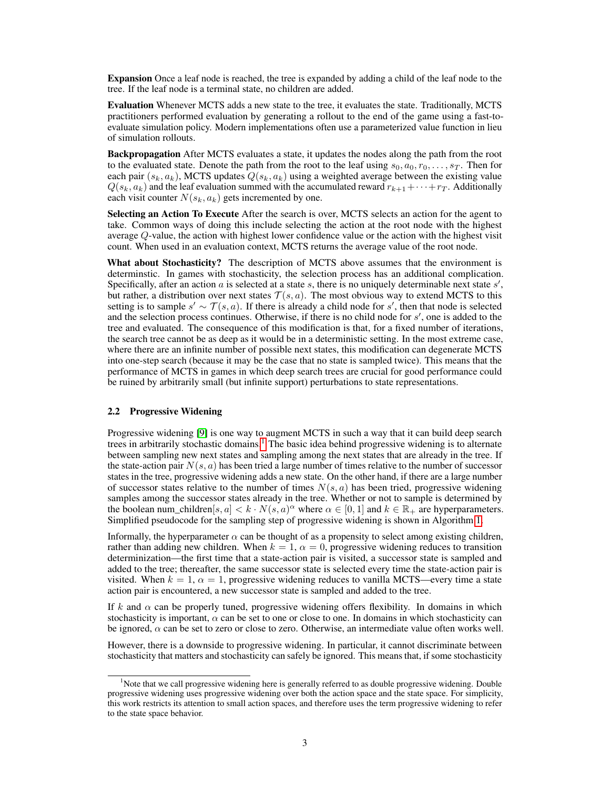Expansion Once a leaf node is reached, the tree is expanded by adding a child of the leaf node to the tree. If the leaf node is a terminal state, no children are added.

Evaluation Whenever MCTS adds a new state to the tree, it evaluates the state. Traditionally, MCTS practitioners performed evaluation by generating a rollout to the end of the game using a fast-toevaluate simulation policy. Modern implementations often use a parameterized value function in lieu of simulation rollouts.

Backpropagation After MCTS evaluates a state, it updates the nodes along the path from the root to the evaluated state. Denote the path from the root to the leaf using  $s_0, a_0, r_0, \ldots, s_T$ . Then for each pair  $(s_k, a_k)$ , MCTS updates  $Q(s_k, a_k)$  using a weighted average between the existing value  $Q(s_k, a_k)$  and the leaf evaluation summed with the accumulated reward  $r_{k+1} + \cdots + r_T$ . Additionally each visit counter  $N(s_k, a_k)$  gets incremented by one.

Selecting an Action To Execute After the search is over, MCTS selects an action for the agent to take. Common ways of doing this include selecting the action at the root node with the highest average Q-value, the action with highest lower confidence value or the action with the highest visit count. When used in an evaluation context, MCTS returns the average value of the root node.

What about Stochasticity? The description of MCTS above assumes that the environment is determinstic. In games with stochasticity, the selection process has an additional complication. Specifically, after an action  $a$  is selected at a state  $s$ , there is no uniquely determinable next state  $s'$ , but rather, a distribution over next states  $T(s, a)$ . The most obvious way to extend MCTS to this setting is to sample  $s' \sim \mathcal{T}(s, a)$ . If there is already a child node for s', then that node is selected and the selection process continues. Otherwise, if there is no child node for  $s'$ , one is added to the tree and evaluated. The consequence of this modification is that, for a fixed number of iterations, the search tree cannot be as deep as it would be in a deterministic setting. In the most extreme case, where there are an infinite number of possible next states, this modification can degenerate MCTS into one-step search (because it may be the case that no state is sampled twice). This means that the performance of MCTS in games in which deep search trees are crucial for good performance could be ruined by arbitrarily small (but infinite support) perturbations to state representations.

#### 2.2 Progressive Widening

Progressive widening [\[9\]](#page-9-3) is one way to augment MCTS in such a way that it can build deep search trees in arbitrarily stochastic domains.<sup>[1](#page-2-0)</sup> The basic idea behind progressive widening is to alternate between sampling new next states and sampling among the next states that are already in the tree. If the state-action pair  $N(s, a)$  has been tried a large number of times relative to the number of successor states in the tree, progressive widening adds a new state. On the other hand, if there are a large number of successor states relative to the number of times  $N(s, a)$  has been tried, progressive widening samples among the successor states already in the tree. Whether or not to sample is determined by the boolean num\_children $[s, a] < k \cdot N(s, a)^\alpha$  where  $\alpha \in [0, 1]$  and  $k \in \mathbb{R}_+$  are hyperparameters. Simplified pseudocode for the sampling step of progressive widening is shown in Algorithm [1.](#page-3-0)

Informally, the hyperparameter  $\alpha$  can be thought of as a propensity to select among existing children, rather than adding new children. When  $k = 1$ ,  $\alpha = 0$ , progressive widening reduces to transition determinization—the first time that a state-action pair is visited, a successor state is sampled and added to the tree; thereafter, the same successor state is selected every time the state-action pair is visited. When  $k = 1$ ,  $\alpha = 1$ , progressive widening reduces to vanilla MCTS—every time a state action pair is encountered, a new successor state is sampled and added to the tree.

If k and  $\alpha$  can be properly tuned, progressive widening offers flexibility. In domains in which stochasticity is important,  $\alpha$  can be set to one or close to one. In domains in which stochasticity can be ignored,  $\alpha$  can be set to zero or close to zero. Otherwise, an intermediate value often works well.

However, there is a downside to progressive widening. In particular, it cannot discriminate between stochasticity that matters and stochasticity can safely be ignored. This means that, if some stochasticity

<span id="page-2-0"></span><sup>&</sup>lt;sup>1</sup>Note that we call progressive widening here is generally referred to as double progressive widening. Double progressive widening uses progressive widening over both the action space and the state space. For simplicity, this work restricts its attention to small action spaces, and therefore uses the term progressive widening to refer to the state space behavior.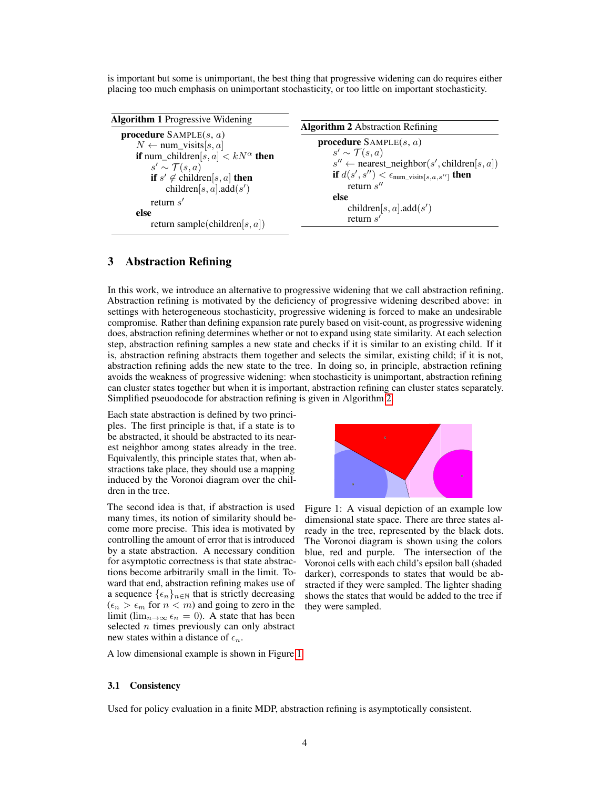is important but some is unimportant, the best thing that progressive widening can do requires either placing too much emphasis on unimportant stochasticity, or too little on important stochasticity.

<span id="page-3-1"></span><span id="page-3-0"></span>

| <b>Algorithm 1</b> Progressive Widening                                                                                                                                                                                                                                                        | <b>Algorithm 2</b> Abstraction Refining                                                                                                                                                                                                                                   |
|------------------------------------------------------------------------------------------------------------------------------------------------------------------------------------------------------------------------------------------------------------------------------------------------|---------------------------------------------------------------------------------------------------------------------------------------------------------------------------------------------------------------------------------------------------------------------------|
| <b>procedure</b> SAMPLE $(s, a)$<br>$N \leftarrow$ num_visits[s, a]<br><b>if</b> num_children[s, a] $\lt kN^{\alpha}$ then<br>$s' \sim \mathcal{T}(s,a)$<br><b>if</b> $s' \notin$ children[s, a] <b>then</b><br>children[s, a].add(s')<br>return $s'$<br>else<br>return sample(children[s, a]) | <b>procedure</b> SAMPLE $(s, a)$<br>$s' \sim \mathcal{T}(s,a)$<br>$s'' \leftarrow$ nearest_neighbor(s', children[s, a])<br><b>if</b> $d(s', s'') < \epsilon_{\text{num\_visits}[s, a, s'']}$ <b>then</b><br>return $s''$<br>else<br>children[s, a].add(s')<br>return $s'$ |

# 3 Abstraction Refining

In this work, we introduce an alternative to progressive widening that we call abstraction refining. Abstraction refining is motivated by the deficiency of progressive widening described above: in settings with heterogeneous stochasticity, progressive widening is forced to make an undesirable compromise. Rather than defining expansion rate purely based on visit-count, as progressive widening does, abstraction refining determines whether or not to expand using state similarity. At each selection step, abstraction refining samples a new state and checks if it is similar to an existing child. If it is, abstraction refining abstracts them together and selects the similar, existing child; if it is not, abstraction refining adds the new state to the tree. In doing so, in principle, abstraction refining avoids the weakness of progressive widening: when stochasticity is unimportant, abstraction refining can cluster states together but when it is important, abstraction refining can cluster states separately. Simplified pseuodocode for abstraction refining is given in Algorithm [2.](#page-3-1)

Each state abstraction is defined by two principles. The first principle is that, if a state is to be abstracted, it should be abstracted to its nearest neighbor among states already in the tree. Equivalently, this principle states that, when abstractions take place, they should use a mapping induced by the Voronoi diagram over the children in the tree.

The second idea is that, if abstraction is used many times, its notion of similarity should become more precise. This idea is motivated by controlling the amount of error that is introduced by a state abstraction. A necessary condition for asymptotic correctness is that state abstractions become arbitrarily small in the limit. Toward that end, abstraction refining makes use of a sequence  $\{\epsilon_n\}_{n\in\mathbb{N}}$  that is strictly decreasing  $(\epsilon_n > \epsilon_m$  for  $n < m$ ) and going to zero in the limit (lim<sub>n→∞</sub>  $\epsilon_n = 0$ ). A state that has been selected  $n$  times previously can only abstract new states within a distance of  $\epsilon_n$ .

<span id="page-3-2"></span>

Figure 1: A visual depiction of an example low dimensional state space. There are three states already in the tree, represented by the black dots. The Voronoi diagram is shown using the colors blue, red and purple. The intersection of the Voronoi cells with each child's epsilon ball (shaded darker), corresponds to states that would be abstracted if they were sampled. The lighter shading shows the states that would be added to the tree if they were sampled.

A low dimensional example is shown in Figure [1.](#page-3-2)

#### 3.1 Consistency

Used for policy evaluation in a finite MDP, abstraction refining is asymptotically consistent.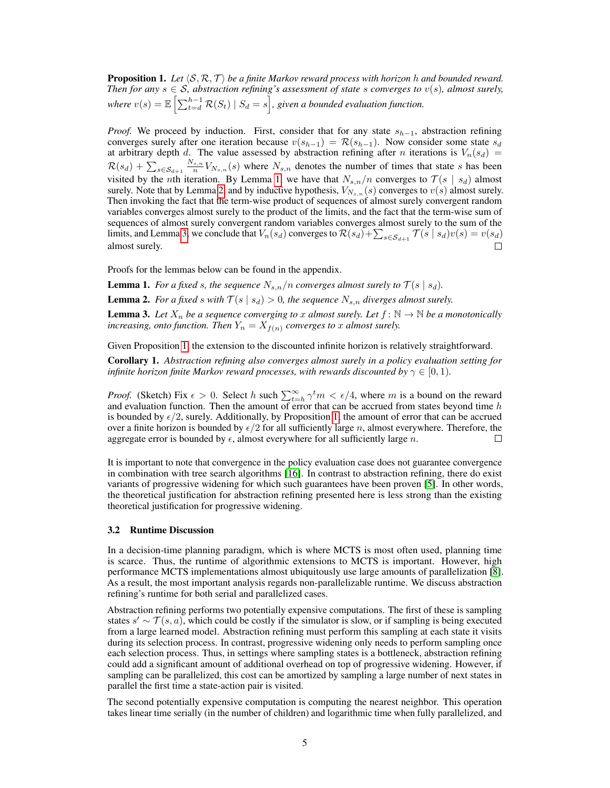<span id="page-4-3"></span>**Proposition 1.** Let  $\langle \mathcal{S}, \mathcal{R}, \mathcal{T} \rangle$  be a finite Markov reward process with horizon h and bounded reward. *Then for any*  $s \in S$ *, abstraction refining's assessment of state s converges to*  $v(s)$ *, almost surely,* where  $v(s) = \mathbb{E}\left[\sum_{t=d}^{h-1} \mathcal{R}(S_t) \mid S_d = s\right]$ , given a bounded evaluation function.

*Proof.* We proceed by induction. First, consider that for any state  $s_{h-1}$ , abstraction refining converges surely after one iteration because  $v(s_{h-1}) = \mathcal{R}(s_{h-1})$ . Now consider some state  $s_d$ at arbitrary depth d. The value assessed by abstraction refining after n iterations is  $V_n(s_d)$  =  $\mathcal{R}(s_d) + \sum_{s \in \mathcal{S}_{d+1}} \frac{N_{s,n}}{n} V_{N_{s,n}}(s)$  where  $N_{s,n}$  denotes the number of times that state s has been visited by the nth iteration. By Lemma [1,](#page-4-0) we have that  $N_{s,n}/n$  converges to  $\mathcal{T}(s \mid s_d)$  almost surely. Note that by Lemma [2,](#page-4-1) and by inductive hypothesis,  $V_{N_{s,n}}(s)$  converges to  $v(s)$  almost surely. Then invoking the fact that the term-wise product of sequences of almost surely convergent random variables converges almost surely to the product of the limits, and the fact that the term-wise sum of sequences of almost surely convergent random variables converges almost surely to the sum of the limits, and Lemma [3,](#page-4-2) we conclude that  $V_n(s_d)$  converges to  $\mathcal{R}(s_d) + \sum_{s \in S_{d+1}} \mathcal{T}(s \mid s_d) v(s) = v(s_d)$ almost surely.  $\Box$ 

Proofs for the lemmas below can be found in the appendix.

<span id="page-4-0"></span>**Lemma 1.** For a fixed s, the sequence  $N_{s,n}/n$  converges almost surely to  $\mathcal{T}(s \mid s_d)$ .

<span id="page-4-1"></span>**Lemma 2.** *For a fixed s with*  $T(s | s_d) > 0$ *, the sequence*  $N_{s,n}$  *diverges almost surely.* 

<span id="page-4-2"></span>**Lemma 3.** Let  $X_n$  be a sequence converging to x almost surely. Let  $f: \mathbb{N} \to \mathbb{N}$  be a monotonically *increasing, onto function. Then*  $Y_n = X_{f(n)}$  *converges to* x *almost surely.* 

Given Proposition [1,](#page-4-3) the extension to the discounted infinite horizon is relatively straightforward.

Corollary 1. *Abstraction refining also converges almost surely in a policy evaluation setting for infinite horizon finite Markov reward processes, with rewards discounted by*  $\gamma \in [0, 1)$ *.* 

*Proof.* (Sketch) Fix  $\epsilon > 0$ . Select h such  $\sum_{t=h}^{\infty} \gamma^t m < \epsilon/4$ , where m is a bound on the reward and evaluation function. Then the amount of error that can be accrued from states beyond time  $h$ is bounded by  $\epsilon/2$ , surely. Additionally, by Proposition [1,](#page-4-3) the amount of error that can be accrued over a finite horizon is bounded by  $\epsilon/2$  for all sufficiently large n, almost everywhere. Therefore, the aggregate error is bounded by  $\epsilon$ , almost everywhere for all sufficiently large n.  $\Box$ 

It is important to note that convergence in the policy evaluation case does not guarantee convergence in combination with tree search algorithms [\[16\]](#page-10-5). In contrast to abstraction refining, there do exist variants of progressive widening for which such guarantees have been proven [\[5\]](#page-9-4). In other words, the theoretical justification for abstraction refining presented here is less strong than the existing theoretical justification for progressive widening.

#### 3.2 Runtime Discussion

In a decision-time planning paradigm, which is where MCTS is most often used, planning time is scarce. Thus, the runtime of algorithmic extensions to MCTS is important. However, high performance MCTS implementations almost ubiquitously use large amounts of parallelization [\[8\]](#page-9-5). As a result, the most important analysis regards non-parallelizable runtime. We discuss abstraction refining's runtime for both serial and parallelized cases.

Abstraction refining performs two potentially expensive computations. The first of these is sampling states  $s' \sim \mathcal{T}(s, a)$ , which could be costly if the simulator is slow, or if sampling is being executed from a large learned model. Abstraction refining must perform this sampling at each state it visits during its selection process. In contrast, progressive widening only needs to perform sampling once each selection process. Thus, in settings where sampling states is a bottleneck, abstraction refining could add a significant amount of additional overhead on top of progressive widening. However, if sampling can be parallelized, this cost can be amortized by sampling a large number of next states in parallel the first time a state-action pair is visited.

The second potentially expensive computation is computing the nearest neighbor. This operation takes linear time serially (in the number of children) and logarithmic time when fully parallelized, and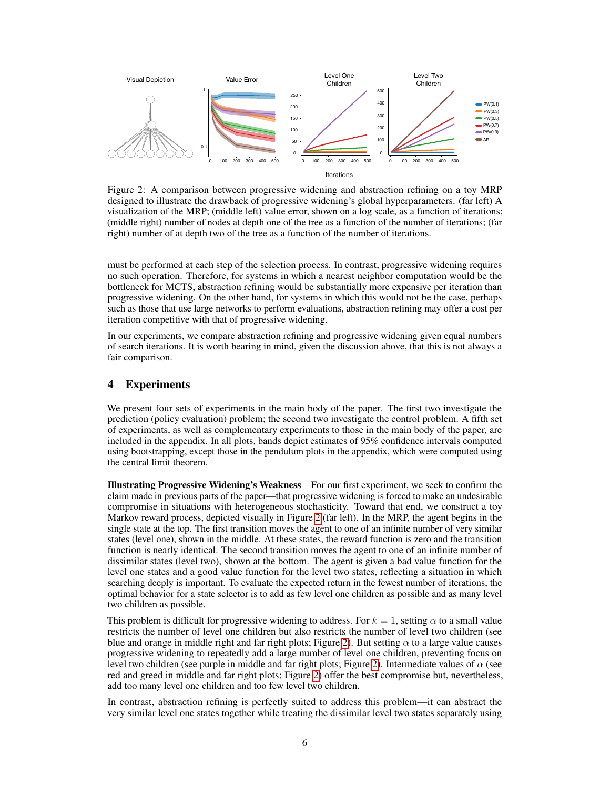<span id="page-5-0"></span>

Figure 2: A comparison between progressive widening and abstraction refining on a toy MRP designed to illustrate the drawback of progressive widening's global hyperparameters. (far left) A visualization of the MRP; (middle left) value error, shown on a log scale, as a function of iterations; (middle right) number of nodes at depth one of the tree as a function of the number of iterations; (far right) number of at depth two of the tree as a function of the number of iterations.

must be performed at each step of the selection process. In contrast, progressive widening requires no such operation. Therefore, for systems in which a nearest neighbor computation would be the bottleneck for MCTS, abstraction refining would be substantially more expensive per iteration than progressive widening. On the other hand, for systems in which this would not be the case, perhaps such as those that use large networks to perform evaluations, abstraction refining may offer a cost per iteration competitive with that of progressive widening.

In our experiments, we compare abstraction refining and progressive widening given equal numbers of search iterations. It is worth bearing in mind, given the discussion above, that this is not always a fair comparison.

## 4 Experiments

We present four sets of experiments in the main body of the paper. The first two investigate the prediction (policy evaluation) problem; the second two investigate the control problem. A fifth set of experiments, as well as complementary experiments to those in the main body of the paper, are included in the appendix. In all plots, bands depict estimates of 95% confidence intervals computed using bootstrapping, except those in the pendulum plots in the appendix, which were computed using the central limit theorem.

Illustrating Progressive Widening's Weakness For our first experiment, we seek to confirm the claim made in previous parts of the paper—that progressive widening is forced to make an undesirable compromise in situations with heterogeneous stochasticity. Toward that end, we construct a toy Markov reward process, depicted visually in Figure [2](#page-5-0) (far left). In the MRP, the agent begins in the single state at the top. The first transition moves the agent to one of an infinite number of very similar states (level one), shown in the middle. At these states, the reward function is zero and the transition function is nearly identical. The second transition moves the agent to one of an infinite number of dissimilar states (level two), shown at the bottom. The agent is given a bad value function for the level one states and a good value function for the level two states, reflecting a situation in which searching deeply is important. To evaluate the expected return in the fewest number of iterations, the optimal behavior for a state selector is to add as few level one children as possible and as many level two children as possible.

This problem is difficult for progressive widening to address. For  $k = 1$ , setting  $\alpha$  to a small value restricts the number of level one children but also restricts the number of level two children (see blue and orange in middle right and far right plots; Figure [2\)](#page-5-0). But setting  $\alpha$  to a large value causes progressive widening to repeatedly add a large number of level one children, preventing focus on level two children (see purple in middle and far right plots; Figure [2\)](#page-5-0). Intermediate values of  $\alpha$  (see red and greed in middle and far right plots; Figure [2\)](#page-5-0) offer the best compromise but, nevertheless, add too many level one children and too few level two children.

In contrast, abstraction refining is perfectly suited to address this problem—it can abstract the very similar level one states together while treating the dissimilar level two states separately using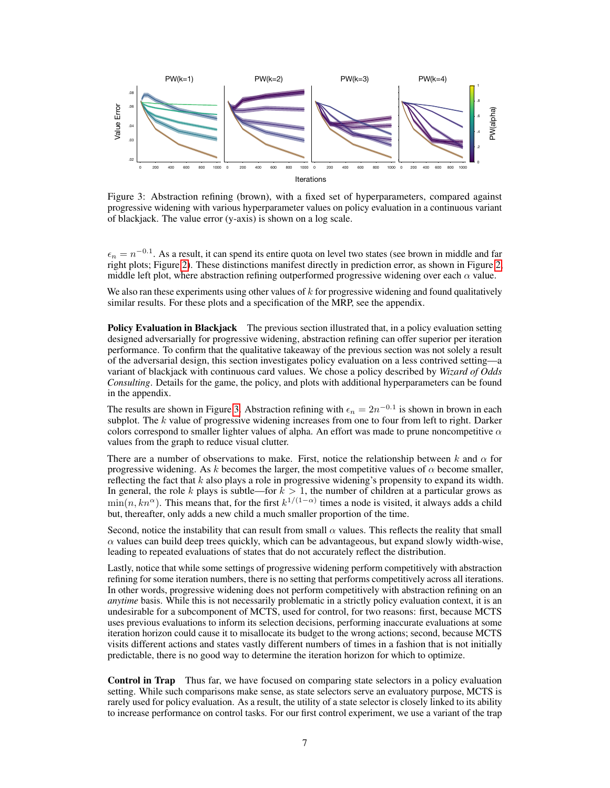<span id="page-6-0"></span>

Figure 3: Abstraction refining (brown), with a fixed set of hyperparameters, compared against progressive widening with various hyperparameter values on policy evaluation in a continuous variant of blackjack. The value error (y-axis) is shown on a log scale.

 $\epsilon_n = n^{-0.1}$ . As a result, it can spend its entire quota on level two states (see brown in middle and far right plots; Figure [2\)](#page-5-0). These distinctions manifest directly in prediction error, as shown in Figure [2,](#page-5-0) middle left plot, where abstraction refining outperformed progressive widening over each  $\alpha$  value.

We also ran these experiments using other values of  $k$  for progressive widening and found qualitatively similar results. For these plots and a specification of the MRP, see the appendix.

**Policy Evaluation in Blackjack** The previous section illustrated that, in a policy evaluation setting designed adversarially for progressive widening, abstraction refining can offer superior per iteration performance. To confirm that the qualitative takeaway of the previous section was not solely a result of the adversarial design, this section investigates policy evaluation on a less contrived setting—a variant of blackjack with continuous card values. We chose a policy described by *Wizard of Odds Consulting*. Details for the game, the policy, and plots with additional hyperparameters can be found in the appendix.

The results are shown in Figure [3.](#page-6-0) Abstraction refining with  $\epsilon_n = 2n^{-0.1}$  is shown in brown in each subplot. The  $k$  value of progressive widening increases from one to four from left to right. Darker colors correspond to smaller lighter values of alpha. An effort was made to prune noncompetitive  $\alpha$ values from the graph to reduce visual clutter.

There are a number of observations to make. First, notice the relationship between k and  $\alpha$  for progressive widening. As k becomes the larger, the most competitive values of  $\alpha$  become smaller, reflecting the fact that  $k$  also plays a role in progressive widening's propensity to expand its width. In general, the role k plays is subtle—for  $k > 1$ , the number of children at a particular grows as  $\min(n, kn^{\alpha})$ . This means that, for the first  $k^{1/(1-\alpha)}$  times a node is visited, it always adds a child but, thereafter, only adds a new child a much smaller proportion of the time.

Second, notice the instability that can result from small  $\alpha$  values. This reflects the reality that small  $\alpha$  values can build deep trees quickly, which can be advantageous, but expand slowly width-wise, leading to repeated evaluations of states that do not accurately reflect the distribution.

Lastly, notice that while some settings of progressive widening perform competitively with abstraction refining for some iteration numbers, there is no setting that performs competitively across all iterations. In other words, progressive widening does not perform competitively with abstraction refining on an *anytime* basis. While this is not necessarily problematic in a strictly policy evaluation context, it is an undesirable for a subcomponent of MCTS, used for control, for two reasons: first, because MCTS uses previous evaluations to inform its selection decisions, performing inaccurate evaluations at some iteration horizon could cause it to misallocate its budget to the wrong actions; second, because MCTS visits different actions and states vastly different numbers of times in a fashion that is not initially predictable, there is no good way to determine the iteration horizon for which to optimize.

Control in Trap Thus far, we have focused on comparing state selectors in a policy evaluation setting. While such comparisons make sense, as state selectors serve an evaluatory purpose, MCTS is rarely used for policy evaluation. As a result, the utility of a state selector is closely linked to its ability to increase performance on control tasks. For our first control experiment, we use a variant of the trap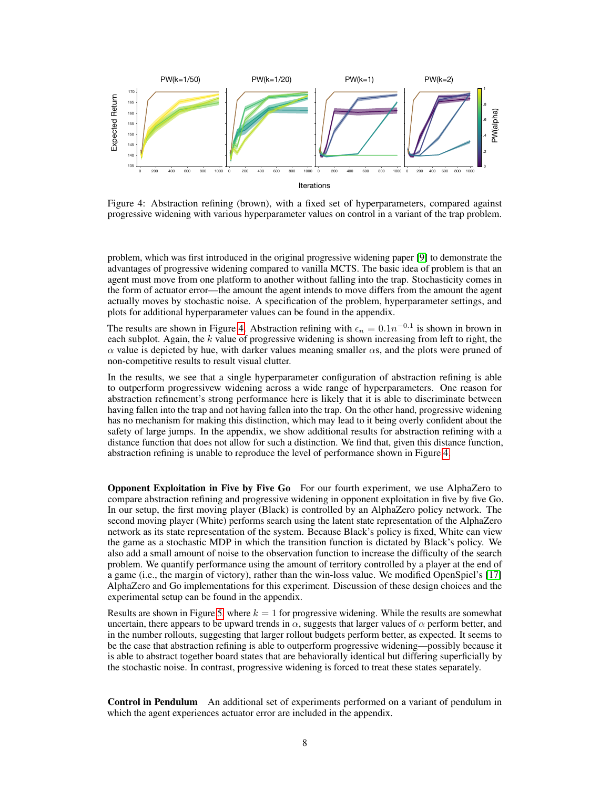<span id="page-7-0"></span>

Figure 4: Abstraction refining (brown), with a fixed set of hyperparameters, compared against progressive widening with various hyperparameter values on control in a variant of the trap problem.

problem, which was first introduced in the original progressive widening paper [\[9\]](#page-9-3) to demonstrate the advantages of progressive widening compared to vanilla MCTS. The basic idea of problem is that an agent must move from one platform to another without falling into the trap. Stochasticity comes in the form of actuator error—the amount the agent intends to move differs from the amount the agent actually moves by stochastic noise. A specification of the problem, hyperparameter settings, and plots for additional hyperparameter values can be found in the appendix.

The results are shown in Figure [4.](#page-7-0) Abstraction refining with  $\epsilon_n = 0.1n^{-0.1}$  is shown in brown in each subplot. Again, the  $k$  value of progressive widening is shown increasing from left to right, the  $\alpha$  value is depicted by hue, with darker values meaning smaller  $\alpha$ s, and the plots were pruned of non-competitive results to result visual clutter.

In the results, we see that a single hyperparameter configuration of abstraction refining is able to outperform progressivew widening across a wide range of hyperparameters. One reason for abstraction refinement's strong performance here is likely that it is able to discriminate between having fallen into the trap and not having fallen into the trap. On the other hand, progressive widening has no mechanism for making this distinction, which may lead to it being overly confident about the safety of large jumps. In the appendix, we show additional results for abstraction refining with a distance function that does not allow for such a distinction. We find that, given this distance function, abstraction refining is unable to reproduce the level of performance shown in Figure [4.](#page-7-0)

Opponent Exploitation in Five by Five Go For our fourth experiment, we use AlphaZero to compare abstraction refining and progressive widening in opponent exploitation in five by five Go. In our setup, the first moving player (Black) is controlled by an AlphaZero policy network. The second moving player (White) performs search using the latent state representation of the AlphaZero network as its state representation of the system. Because Black's policy is fixed, White can view the game as a stochastic MDP in which the transition function is dictated by Black's policy. We also add a small amount of noise to the observation function to increase the difficulty of the search problem. We quantify performance using the amount of territory controlled by a player at the end of a game (i.e., the margin of victory), rather than the win-loss value. We modified OpenSpiel's [\[17\]](#page-10-6) AlphaZero and Go implementations for this experiment. Discussion of these design choices and the experimental setup can be found in the appendix.

Results are shown in Figure [5,](#page-8-0) where  $k = 1$  for progressive widening. While the results are somewhat uncertain, there appears to be upward trends in  $\alpha$ , suggests that larger values of  $\alpha$  perform better, and in the number rollouts, suggesting that larger rollout budgets perform better, as expected. It seems to be the case that abstraction refining is able to outperform progressive widening—possibly because it is able to abstract together board states that are behaviorally identical but differing superficially by the stochastic noise. In contrast, progressive widening is forced to treat these states separately.

Control in Pendulum An additional set of experiments performed on a variant of pendulum in which the agent experiences actuator error are included in the appendix.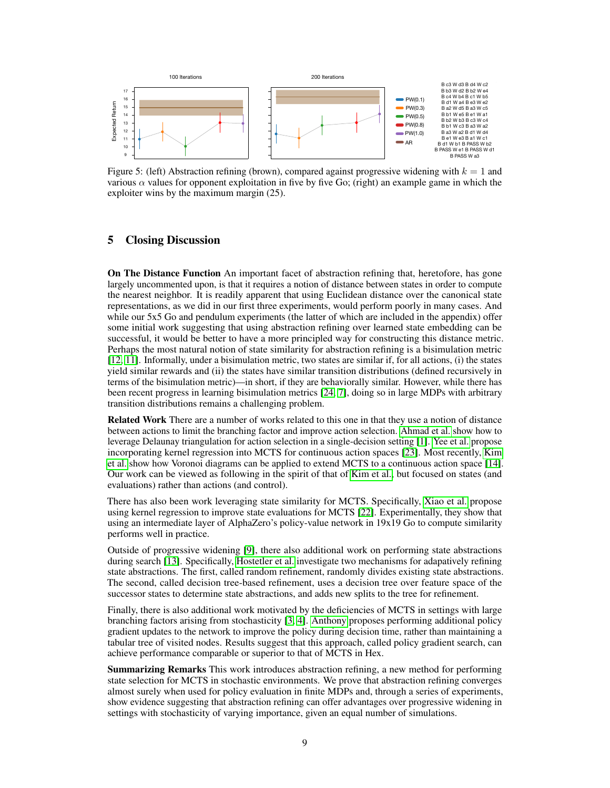<span id="page-8-0"></span>

Figure 5: (left) Abstraction refining (brown), compared against progressive widening with  $k = 1$  and various  $\alpha$  values for opponent exploitation in five by five Go; (right) an example game in which the exploiter wins by the maximum margin (25).

## 5 Closing Discussion

On The Distance Function An important facet of abstraction refining that, heretofore, has gone largely uncommented upon, is that it requires a notion of distance between states in order to compute the nearest neighbor. It is readily apparent that using Euclidean distance over the canonical state representations, as we did in our first three experiments, would perform poorly in many cases. And while our 5x5 Go and pendulum experiments (the latter of which are included in the appendix) offer some initial work suggesting that using abstraction refining over learned state embedding can be successful, it would be better to have a more principled way for constructing this distance metric. Perhaps the most natural notion of state similarity for abstraction refining is a bisimulation metric [\[12,](#page-9-6) [11\]](#page-9-7). Informally, under a bisimulation metric, two states are similar if, for all actions, (i) the states yield similar rewards and (ii) the states have similar transition distributions (defined recursively in terms of the bisimulation metric)—in short, if they are behaviorally similar. However, while there has been recent progress in learning bisimulation metrics [\[24,](#page-10-7) [7\]](#page-9-8), doing so in large MDPs with arbitrary transition distributions remains a challenging problem.

Related Work There are a number of works related to this one in that they use a notion of distance between actions to limit the branching factor and improve action selection. [Ahmad et al.](#page-9-9) show how to leverage Delaunay triangulation for action selection in a single-decision setting [\[1\]](#page-9-9). [Yee et al.](#page-10-8) propose incorporating kernel regression into MCTS for continuous action spaces [\[23\]](#page-10-8). Most recently, [Kim](#page-9-10) [et al.](#page-9-10) show how Voronoi diagrams can be applied to extend MCTS to a continuous action space [\[14\]](#page-9-10). Our work can be viewed as following in the spirit of that of [Kim et al.,](#page-9-10) but focused on states (and evaluations) rather than actions (and control).

There has also been work leveraging state similarity for MCTS. Specifically, [Xiao et al.](#page-10-9) propose using kernel regression to improve state evaluations for MCTS [\[22\]](#page-10-9). Experimentally, they show that using an intermediate layer of AlphaZero's policy-value network in 19x19 Go to compute similarity performs well in practice.

Outside of progressive widening [\[9\]](#page-9-3), there also additional work on performing state abstractions during search [\[13\]](#page-9-11). Specifically, [Hostetler et al.](#page-9-11) investigate two mechanisms for adapatively refining state abstractions. The first, called random refinement, randomly divides existing state abstractions. The second, called decision tree-based refinement, uses a decision tree over feature space of the successor states to determine state abstractions, and adds new splits to the tree for refinement.

Finally, there is also additional work motivated by the deficiencies of MCTS in settings with large branching factors arising from stochasticity [\[3,](#page-9-12) [4\]](#page-9-13). [Anthony](#page-9-13) proposes performing additional policy gradient updates to the network to improve the policy during decision time, rather than maintaining a tabular tree of visited nodes. Results suggest that this approach, called policy gradient search, can achieve performance comparable or superior to that of MCTS in Hex.

**Summarizing Remarks** This work introduces abstraction refining, a new method for performing state selection for MCTS in stochastic environments. We prove that abstraction refining converges almost surely when used for policy evaluation in finite MDPs and, through a series of experiments, show evidence suggesting that abstraction refining can offer advantages over progressive widening in settings with stochasticity of varying importance, given an equal number of simulations.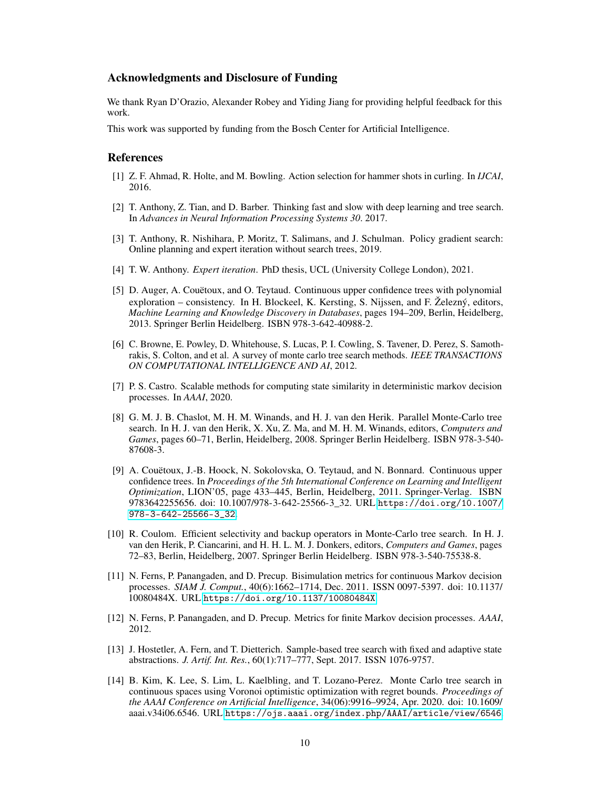### Acknowledgments and Disclosure of Funding

We thank Ryan D'Orazio, Alexander Robey and Yiding Jiang for providing helpful feedback for this work.

This work was supported by funding from the Bosch Center for Artificial Intelligence.

#### References

- <span id="page-9-9"></span>[1] Z. F. Ahmad, R. Holte, and M. Bowling. Action selection for hammer shots in curling. In *IJCAI*, 2016.
- <span id="page-9-2"></span>[2] T. Anthony, Z. Tian, and D. Barber. Thinking fast and slow with deep learning and tree search. In *Advances in Neural Information Processing Systems 30*. 2017.
- <span id="page-9-12"></span>[3] T. Anthony, R. Nishihara, P. Moritz, T. Salimans, and J. Schulman. Policy gradient search: Online planning and expert iteration without search trees, 2019.
- <span id="page-9-13"></span>[4] T. W. Anthony. *Expert iteration*. PhD thesis, UCL (University College London), 2021.
- <span id="page-9-4"></span>[5] D. Auger, A. Couëtoux, and O. Teytaud. Continuous upper confidence trees with polynomial exploration – consistency. In H. Blockeel, K. Kersting, S. Nijssen, and F. Železný, editors, *Machine Learning and Knowledge Discovery in Databases*, pages 194–209, Berlin, Heidelberg, 2013. Springer Berlin Heidelberg. ISBN 978-3-642-40988-2.
- <span id="page-9-0"></span>[6] C. Browne, E. Powley, D. Whitehouse, S. Lucas, P. I. Cowling, S. Tavener, D. Perez, S. Samothrakis, S. Colton, and et al. A survey of monte carlo tree search methods. *IEEE TRANSACTIONS ON COMPUTATIONAL INTELLIGENCE AND AI*, 2012.
- <span id="page-9-8"></span>[7] P. S. Castro. Scalable methods for computing state similarity in deterministic markov decision processes. In *AAAI*, 2020.
- <span id="page-9-5"></span>[8] G. M. J. B. Chaslot, M. H. M. Winands, and H. J. van den Herik. Parallel Monte-Carlo tree search. In H. J. van den Herik, X. Xu, Z. Ma, and M. H. M. Winands, editors, *Computers and Games*, pages 60–71, Berlin, Heidelberg, 2008. Springer Berlin Heidelberg. ISBN 978-3-540- 87608-3.
- <span id="page-9-3"></span>[9] A. Couëtoux, J.-B. Hoock, N. Sokolovska, O. Teytaud, and N. Bonnard. Continuous upper confidence trees. In *Proceedings of the 5th International Conference on Learning and Intelligent Optimization*, LION'05, page 433–445, Berlin, Heidelberg, 2011. Springer-Verlag. ISBN 9783642255656. doi: 10.1007/978-3-642-25566-3\_32. URL [https://doi.org/10.1007/](https://doi.org/10.1007/978-3-642-25566-3_32) [978-3-642-25566-3\\_32](https://doi.org/10.1007/978-3-642-25566-3_32).
- <span id="page-9-1"></span>[10] R. Coulom. Efficient selectivity and backup operators in Monte-Carlo tree search. In H. J. van den Herik, P. Ciancarini, and H. H. L. M. J. Donkers, editors, *Computers and Games*, pages 72–83, Berlin, Heidelberg, 2007. Springer Berlin Heidelberg. ISBN 978-3-540-75538-8.
- <span id="page-9-7"></span>[11] N. Ferns, P. Panangaden, and D. Precup. Bisimulation metrics for continuous Markov decision processes. *SIAM J. Comput.*, 40(6):1662–1714, Dec. 2011. ISSN 0097-5397. doi: 10.1137/ 10080484X. URL <https://doi.org/10.1137/10080484X>.
- <span id="page-9-6"></span>[12] N. Ferns, P. Panangaden, and D. Precup. Metrics for finite Markov decision processes. *AAAI*, 2012.
- <span id="page-9-11"></span>[13] J. Hostetler, A. Fern, and T. Dietterich. Sample-based tree search with fixed and adaptive state abstractions. *J. Artif. Int. Res.*, 60(1):717–777, Sept. 2017. ISSN 1076-9757.
- <span id="page-9-10"></span>[14] B. Kim, K. Lee, S. Lim, L. Kaelbling, and T. Lozano-Perez. Monte Carlo tree search in continuous spaces using Voronoi optimistic optimization with regret bounds. *Proceedings of the AAAI Conference on Artificial Intelligence*, 34(06):9916–9924, Apr. 2020. doi: 10.1609/ aaai.v34i06.6546. URL <https://ojs.aaai.org/index.php/AAAI/article/view/6546>.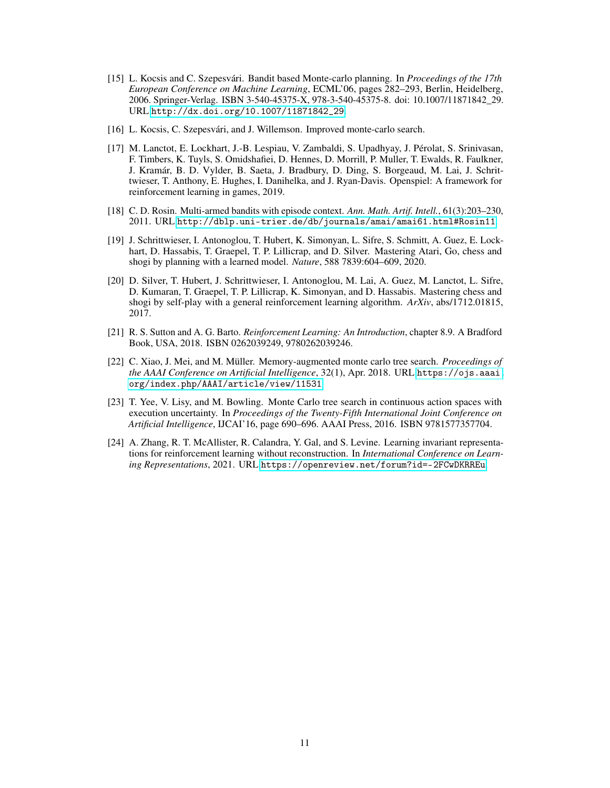- <span id="page-10-1"></span>[15] L. Kocsis and C. Szepesvári. Bandit based Monte-carlo planning. In *Proceedings of the 17th European Conference on Machine Learning*, ECML'06, pages 282–293, Berlin, Heidelberg, 2006. Springer-Verlag. ISBN 3-540-45375-X, 978-3-540-45375-8. doi: 10.1007/11871842\_29. URL [http://dx.doi.org/10.1007/11871842\\_29](http://dx.doi.org/10.1007/11871842_29).
- <span id="page-10-5"></span>[16] L. Kocsis, C. Szepesvári, and J. Willemson. Improved monte-carlo search.
- <span id="page-10-6"></span>[17] M. Lanctot, E. Lockhart, J.-B. Lespiau, V. Zambaldi, S. Upadhyay, J. Pérolat, S. Srinivasan, F. Timbers, K. Tuyls, S. Omidshafiei, D. Hennes, D. Morrill, P. Muller, T. Ewalds, R. Faulkner, J. Kramár, B. D. Vylder, B. Saeta, J. Bradbury, D. Ding, S. Borgeaud, M. Lai, J. Schrittwieser, T. Anthony, E. Hughes, I. Danihelka, and J. Ryan-Davis. Openspiel: A framework for reinforcement learning in games, 2019.
- <span id="page-10-4"></span>[18] C. D. Rosin. Multi-armed bandits with episode context. *Ann. Math. Artif. Intell.*, 61(3):203–230, 2011. URL <http://dblp.uni-trier.de/db/journals/amai/amai61.html#Rosin11>.
- <span id="page-10-3"></span>[19] J. Schrittwieser, I. Antonoglou, T. Hubert, K. Simonyan, L. Sifre, S. Schmitt, A. Guez, E. Lockhart, D. Hassabis, T. Graepel, T. P. Lillicrap, and D. Silver. Mastering Atari, Go, chess and shogi by planning with a learned model. *Nature*, 588 7839:604–609, 2020.
- <span id="page-10-2"></span>[20] D. Silver, T. Hubert, J. Schrittwieser, I. Antonoglou, M. Lai, A. Guez, M. Lanctot, L. Sifre, D. Kumaran, T. Graepel, T. P. Lillicrap, K. Simonyan, and D. Hassabis. Mastering chess and shogi by self-play with a general reinforcement learning algorithm. *ArXiv*, abs/1712.01815, 2017.
- <span id="page-10-0"></span>[21] R. S. Sutton and A. G. Barto. *Reinforcement Learning: An Introduction*, chapter 8.9. A Bradford Book, USA, 2018. ISBN 0262039249, 9780262039246.
- <span id="page-10-9"></span>[22] C. Xiao, J. Mei, and M. Müller. Memory-augmented monte carlo tree search. *Proceedings of the AAAI Conference on Artificial Intelligence*, 32(1), Apr. 2018. URL [https://ojs.aaai.](https://ojs.aaai.org/index.php/AAAI/article/view/11531) [org/index.php/AAAI/article/view/11531](https://ojs.aaai.org/index.php/AAAI/article/view/11531).
- <span id="page-10-8"></span>[23] T. Yee, V. Lisy, and M. Bowling. Monte Carlo tree search in continuous action spaces with execution uncertainty. In *Proceedings of the Twenty-Fifth International Joint Conference on Artificial Intelligence*, IJCAI'16, page 690–696. AAAI Press, 2016. ISBN 9781577357704.
- <span id="page-10-7"></span>[24] A. Zhang, R. T. McAllister, R. Calandra, Y. Gal, and S. Levine. Learning invariant representations for reinforcement learning without reconstruction. In *International Conference on Learning Representations*, 2021. URL <https://openreview.net/forum?id=-2FCwDKRREu>.